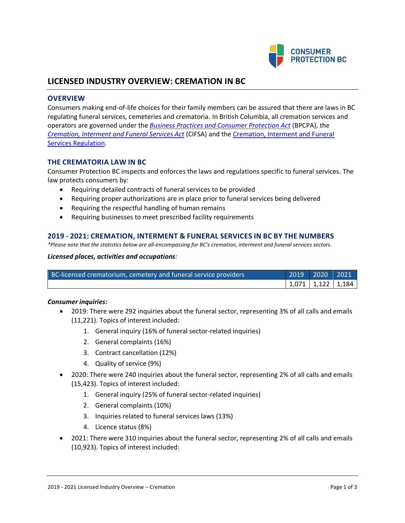

# **LICENSED INDUSTRY OVERVIEW: CREMATION IN BC**

### **OVERVIEW**

Consumers making end-of-life choices for their family members can be assured that there are laws in BC regulating funeral services, cemeteries and crematoria. In British Columbia, all cremation services and operators are governed under the *[Business Practices and Consumer Protection Act](http://www.bclaws.ca/Recon/document/ID/freeside/04002_00)* (BPCPA), the *[Cremation, Interment and Funeral Services Act](http://www.bclaws.ca/Recon/document/ID/freeside/00_04035_01)* (CIFSA) and the [Cremation, Interment and Funeral](http://www.bclaws.ca/EPLibraries/bclaws_new/document/ID/freeside/298_2004)  [Services Regulation.](http://www.bclaws.ca/EPLibraries/bclaws_new/document/ID/freeside/298_2004)

### **THE CREMATORIA LAW IN BC**

Consumer Protection BC inspects and enforces the laws and regulations specific to funeral services. The law protects consumers by:

- Requiring detailed contracts of funeral services to be provided
- Requiring proper authorizations are in place prior to funeral services being delivered
- Requiring the respectful handling of human remains
- Requiring businesses to meet prescribed facility requirements

### **2019 - 2021: CREMATION, INTERMENT & FUNERAL SERVICES IN BC BY THE NUMBERS**

*\*Please note that the statistics below are all-encompassing for BC's cremation, interment and funeral services sectors.*

#### *Licensed places, activities and occupations:*

| BC-licensed crematorium, cemetery and funeral service providers | 2019   2020   2021'     |  |
|-----------------------------------------------------------------|-------------------------|--|
|                                                                 | $1,071$   1,122   1,184 |  |

#### *Consumer inquiries:*

- 2019: There were 292 inquiries about the funeral sector, representing 3% of all calls and emails (11,221). Topics of interest included:
	- 1. General inquiry (16% of funeral sector-related inquiries)
	- 2. General complaints (16%)
	- 3. Contract cancellation (12%)
	- 4. Quality of service (9%)
- 2020: There were 240 inquiries about the funeral sector, representing 2% of all calls and emails (15,423). Topics of interest included:
	- 1. General inquiry (25% of funeral sector-related inquiries)
	- 2. General complaints (10%)
	- 3. Inquiries related to funeral services laws (13%)
	- 4. Licence status (8%)
- 2021: There were 310 inquiries about the funeral sector, representing 2% of all calls and emails (10,923). Topics of interest included: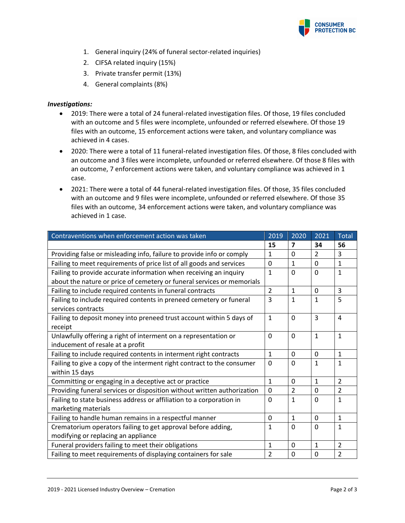

- 1. General inquiry (24% of funeral sector-related inquiries)
- 2. CIFSA related inquiry (15%)
- 3. Private transfer permit (13%)
- 4. General complaints (8%)

### *Investigations:*

- 2019: There were a total of 24 funeral-related investigation files. Of those, 19 files concluded with an outcome and 5 files were incomplete, unfounded or referred elsewhere. Of those 19 files with an outcome, 15 enforcement actions were taken, and voluntary compliance was achieved in 4 cases.
- 2020: There were a total of 11 funeral-related investigation files. Of those, 8 files concluded with an outcome and 3 files were incomplete, unfounded or referred elsewhere. Of those 8 files with an outcome, 7 enforcement actions were taken, and voluntary compliance was achieved in 1 case.
- 2021: There were a total of 44 funeral-related investigation files. Of those, 35 files concluded with an outcome and 9 files were incomplete, unfounded or referred elsewhere. Of those 35 files with an outcome, 34 enforcement actions were taken, and voluntary compliance was achieved in 1 case.

| Contraventions when enforcement action was taken                        | 2019           | 2020                    | 2021           | <b>Total</b>   |
|-------------------------------------------------------------------------|----------------|-------------------------|----------------|----------------|
|                                                                         | 15             | $\overline{\mathbf{z}}$ | 34             | 56             |
| Providing false or misleading info, failure to provide info or comply   | $\mathbf{1}$   | $\Omega$                | $\overline{2}$ | 3              |
| Failing to meet requirements of price list of all goods and services    | $\Omega$       | $\mathbf{1}$            | $\overline{0}$ | $\mathbf{1}$   |
| Failing to provide accurate information when receiving an inquiry       | $\mathbf{1}$   | $\Omega$                | $\Omega$       | $\mathbf{1}$   |
| about the nature or price of cemetery or funeral services or memorials  |                |                         |                |                |
| Failing to include required contents in funeral contracts               | $\mathcal{P}$  | $\mathbf{1}$            | $\Omega$       | 3              |
| Failing to include required contents in preneed cemetery or funeral     | 3              | $\mathbf{1}$            | $\mathbf{1}$   | 5              |
| services contracts                                                      |                |                         |                |                |
| Failing to deposit money into preneed trust account within 5 days of    | $\mathbf{1}$   | $\mathbf 0$             | 3              | 4              |
| receipt                                                                 |                |                         |                |                |
| Unlawfully offering a right of interment on a representation or         | $\Omega$       | $\Omega$                | $\mathbf{1}$   | $\mathbf{1}$   |
| inducement of resale at a profit                                        |                |                         |                |                |
| Failing to include required contents in interment right contracts       | $\mathbf{1}$   | $\Omega$                | $\Omega$       | $\mathbf{1}$   |
| Failing to give a copy of the interment right contract to the consumer  | 0              | $\Omega$                | $\mathbf{1}$   | $\mathbf{1}$   |
| within 15 days                                                          |                |                         |                |                |
| Committing or engaging in a deceptive act or practice                   | $\mathbf{1}$   | $\Omega$                | $\mathbf{1}$   | $\overline{2}$ |
| Providing funeral services or disposition without written authorization | 0              | $\overline{2}$          | 0              | $\overline{2}$ |
| Failing to state business address or affiliation to a corporation in    | 0              | $\mathbf{1}$            | $\Omega$       | $\mathbf{1}$   |
| marketing materials                                                     |                |                         |                |                |
| Failing to handle human remains in a respectful manner                  | 0              | $\mathbf{1}$            | $\Omega$       | $\mathbf{1}$   |
| Crematorium operators failing to get approval before adding,            | 1              | $\mathbf 0$             | $\Omega$       | $\mathbf{1}$   |
| modifying or replacing an appliance                                     |                |                         |                |                |
| Funeral providers failing to meet their obligations                     | $\mathbf{1}$   | $\mathbf 0$             | $\mathbf{1}$   | $\overline{2}$ |
| Failing to meet requirements of displaying containers for sale          | $\overline{2}$ | $\Omega$                | $\Omega$       | $\overline{2}$ |